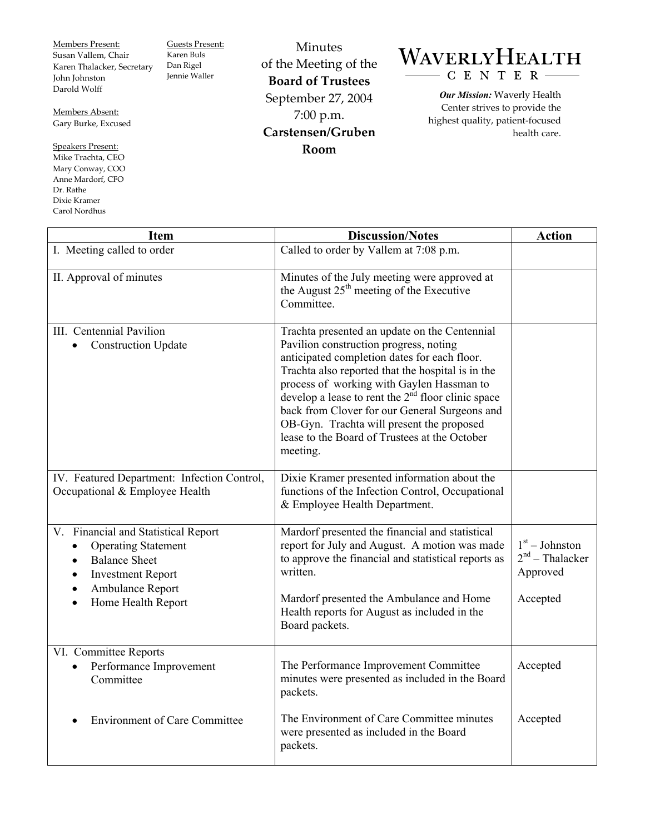Members Present: Susan Vallem, Chair Karen Thalacker, Secretary John Johnston Darold Wolff

Guests Present: Karen Buls Dan Rigel Jennie Waller

Members Absent: Gary Burke, Excused

Speakers Present: Mike Trachta, CEO Mary Conway, COO Anne Mardorf, CFO Dr. Rathe Dixie Kramer Carol Nordhus

Minutes of the Meeting of the **Board of Trustees**  September 27, 2004 7:00 p.m. **Carstensen/Gruben Room** 

## WAVERLYHEALTH CENTER

*Our Mission:* Waverly Health Center strives to provide the highest quality, patient-focused health care.

| <b>Item</b>                                                                                                                                                                                            | <b>Discussion/Notes</b>                                                                                                                                                                                                                                                                                                                                                                                                                                                | <b>Action</b>                                                 |
|--------------------------------------------------------------------------------------------------------------------------------------------------------------------------------------------------------|------------------------------------------------------------------------------------------------------------------------------------------------------------------------------------------------------------------------------------------------------------------------------------------------------------------------------------------------------------------------------------------------------------------------------------------------------------------------|---------------------------------------------------------------|
| I. Meeting called to order                                                                                                                                                                             | Called to order by Vallem at 7:08 p.m.                                                                                                                                                                                                                                                                                                                                                                                                                                 |                                                               |
| II. Approval of minutes                                                                                                                                                                                | Minutes of the July meeting were approved at<br>the August 25 <sup>th</sup> meeting of the Executive<br>Committee.                                                                                                                                                                                                                                                                                                                                                     |                                                               |
| III. Centennial Pavilion<br><b>Construction Update</b><br>$\bullet$                                                                                                                                    | Trachta presented an update on the Centennial<br>Pavilion construction progress, noting<br>anticipated completion dates for each floor.<br>Trachta also reported that the hospital is in the<br>process of working with Gaylen Hassman to<br>develop a lease to rent the 2 <sup>nd</sup> floor clinic space<br>back from Clover for our General Surgeons and<br>OB-Gyn. Trachta will present the proposed<br>lease to the Board of Trustees at the October<br>meeting. |                                                               |
| IV. Featured Department: Infection Control,<br>Occupational & Employee Health                                                                                                                          | Dixie Kramer presented information about the<br>functions of the Infection Control, Occupational<br>& Employee Health Department.                                                                                                                                                                                                                                                                                                                                      |                                                               |
| V. Financial and Statistical Report<br><b>Operating Statement</b><br>$\bullet$<br><b>Balance Sheet</b><br><b>Investment Report</b><br>$\bullet$<br>Ambulance Report<br>Home Health Report<br>$\bullet$ | Mardorf presented the financial and statistical<br>report for July and August. A motion was made<br>to approve the financial and statistical reports as<br>written.<br>Mardorf presented the Ambulance and Home<br>Health reports for August as included in the<br>Board packets.                                                                                                                                                                                      | $1st - Johnston$<br>$2nd$ – Thalacker<br>Approved<br>Accepted |
| VI. Committee Reports<br>Performance Improvement<br>Committee                                                                                                                                          | The Performance Improvement Committee<br>minutes were presented as included in the Board<br>packets.                                                                                                                                                                                                                                                                                                                                                                   | Accepted                                                      |
| <b>Environment of Care Committee</b>                                                                                                                                                                   | The Environment of Care Committee minutes<br>were presented as included in the Board<br>packets.                                                                                                                                                                                                                                                                                                                                                                       | Accepted                                                      |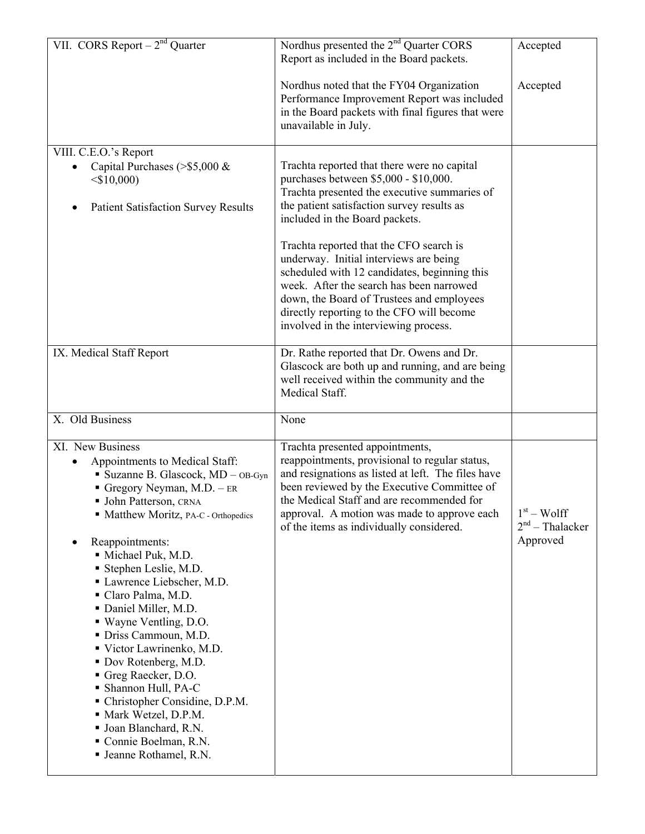| VII. CORS Report $-2^{nd}$ Quarter                                                                                                                                                                                                                                                                                                                                                                                                                                                                                                                                                                                                   | Nordhus presented the 2 <sup>nd</sup> Quarter CORS<br>Report as included in the Board packets.                                                                                                                                                                                                                                                                                                                                                                                                                                           | Accepted                                      |
|--------------------------------------------------------------------------------------------------------------------------------------------------------------------------------------------------------------------------------------------------------------------------------------------------------------------------------------------------------------------------------------------------------------------------------------------------------------------------------------------------------------------------------------------------------------------------------------------------------------------------------------|------------------------------------------------------------------------------------------------------------------------------------------------------------------------------------------------------------------------------------------------------------------------------------------------------------------------------------------------------------------------------------------------------------------------------------------------------------------------------------------------------------------------------------------|-----------------------------------------------|
|                                                                                                                                                                                                                                                                                                                                                                                                                                                                                                                                                                                                                                      | Nordhus noted that the FY04 Organization<br>Performance Improvement Report was included<br>in the Board packets with final figures that were<br>unavailable in July.                                                                                                                                                                                                                                                                                                                                                                     | Accepted                                      |
| VIII. C.E.O.'s Report<br>Capital Purchases ( $>$ \$5,000 &<br>$<$ \$10,000)<br><b>Patient Satisfaction Survey Results</b>                                                                                                                                                                                                                                                                                                                                                                                                                                                                                                            | Trachta reported that there were no capital<br>purchases between \$5,000 - \$10,000.<br>Trachta presented the executive summaries of<br>the patient satisfaction survey results as<br>included in the Board packets.<br>Trachta reported that the CFO search is<br>underway. Initial interviews are being<br>scheduled with 12 candidates, beginning this<br>week. After the search has been narrowed<br>down, the Board of Trustees and employees<br>directly reporting to the CFO will become<br>involved in the interviewing process. |                                               |
| IX. Medical Staff Report                                                                                                                                                                                                                                                                                                                                                                                                                                                                                                                                                                                                             | Dr. Rathe reported that Dr. Owens and Dr.<br>Glascock are both up and running, and are being<br>well received within the community and the<br>Medical Staff.                                                                                                                                                                                                                                                                                                                                                                             |                                               |
| X. Old Business                                                                                                                                                                                                                                                                                                                                                                                                                                                                                                                                                                                                                      | None                                                                                                                                                                                                                                                                                                                                                                                                                                                                                                                                     |                                               |
| XI. New Business<br>Appointments to Medical Staff:<br>• Suzanne B. Glascock, MD - OB-Gyn<br>Gregory Neyman, $M.D. - ER$<br>• John Patterson, CRNA<br>• Matthew Moritz, PA-C - Orthopedics<br>Reappointments:<br>Michael Puk, M.D.<br>Stephen Leslie, M.D.<br>Lawrence Liebscher, M.D.<br>Claro Palma, M.D.<br>• Daniel Miller, M.D.<br>• Wayne Ventling, D.O.<br>· Driss Cammoun, M.D.<br>Victor Lawrinenko, M.D.<br>Dov Rotenberg, M.D.<br>Greg Raecker, D.O.<br>• Shannon Hull, PA-C<br>• Christopher Considine, D.P.M.<br>• Mark Wetzel, D.P.M.<br>· Joan Blanchard, R.N.<br>Connie Boelman, R.N.<br><b>Jeanne Rothamel, R.N.</b> | Trachta presented appointments,<br>reappointments, provisional to regular status,<br>and resignations as listed at left. The files have<br>been reviewed by the Executive Committee of<br>the Medical Staff and are recommended for<br>approval. A motion was made to approve each<br>of the items as individually considered.                                                                                                                                                                                                           | $1st - Wolf$<br>$2nd$ – Thalacker<br>Approved |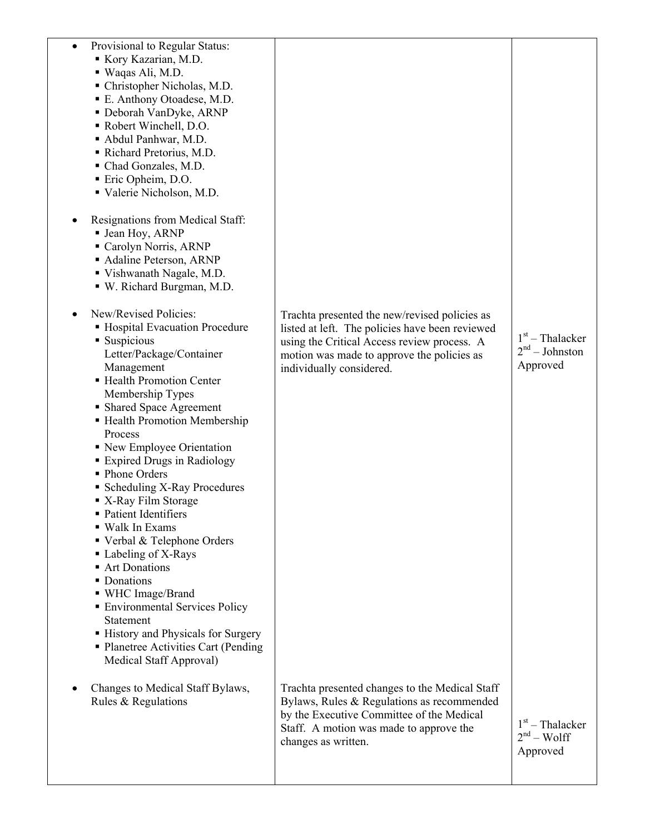|                                                                                        | Provisional to Regular Status:<br>Kory Kazarian, M.D.<br>· Waqas Ali, M.D.<br>• Christopher Nicholas, M.D.<br>• E. Anthony Otoadese, M.D.<br>Deborah VanDyke, ARNP<br>• Robert Winchell, D.O.<br>Abdul Panhwar, M.D.<br>Richard Pretorius, M.D.<br>Chad Gonzales, M.D.<br>Eric Opheim, D.O.<br>Valerie Nicholson, M.D.<br>Resignations from Medical Staff:<br>• Jean Hoy, ARNP<br>Carolyn Norris, ARNP<br>• Adaline Peterson, ARNP<br>Vishwanath Nagale, M.D.<br>• W. Richard Burgman, M.D.<br>New/Revised Policies:                                                                     | Trachta presented the new/revised policies as                                                                                                                                                               |                                                   |
|----------------------------------------------------------------------------------------|------------------------------------------------------------------------------------------------------------------------------------------------------------------------------------------------------------------------------------------------------------------------------------------------------------------------------------------------------------------------------------------------------------------------------------------------------------------------------------------------------------------------------------------------------------------------------------------|-------------------------------------------------------------------------------------------------------------------------------------------------------------------------------------------------------------|---------------------------------------------------|
| • Suspicious<br>Process<br>• Phone Orders<br>Art Donations<br>• Donations<br>Statement | • Hospital Evacuation Procedure<br>Letter/Package/Container<br>Management<br>- Health Promotion Center<br>Membership Types<br>• Shared Space Agreement<br>- Health Promotion Membership<br>• New Employee Orientation<br><b>Expired Drugs in Radiology</b><br>• Scheduling X-Ray Procedures<br>■ X-Ray Film Storage<br>• Patient Identifiers<br>■ Walk In Exams<br>■ Verbal & Telephone Orders<br>• Labeling of X-Rays<br>• WHC Image/Brand<br>• Environmental Services Policy<br>• History and Physicals for Surgery<br>• Planetree Activities Cart (Pending<br>Medical Staff Approval) | listed at left. The policies have been reviewed<br>using the Critical Access review process. A<br>motion was made to approve the policies as<br>individually considered.                                    | $1st$ – Thalacker<br>$2nd - Johnston$<br>Approved |
|                                                                                        | Changes to Medical Staff Bylaws,<br>Rules & Regulations                                                                                                                                                                                                                                                                                                                                                                                                                                                                                                                                  | Trachta presented changes to the Medical Staff<br>Bylaws, Rules & Regulations as recommended<br>by the Executive Committee of the Medical<br>Staff. A motion was made to approve the<br>changes as written. | $1st$ – Thalacker<br>$2nd - Wolf$<br>Approved     |